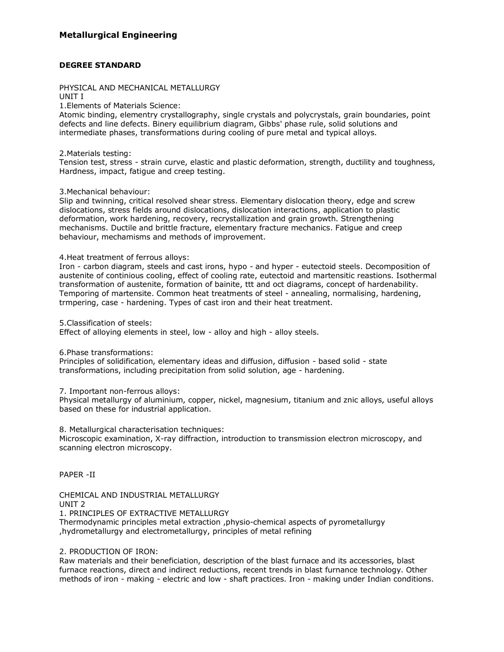## **DEGREE STANDARD**

# PHYSICAL AND MECHANICAL METALLURGY

UNIT I

1.Elements of Materials Science:

Atomic binding, elementry crystallography, single crystals and polycrystals, grain boundaries, point defects and line defects. Binery equilibrium diagram, Gibbs' phase rule, solid solutions and intermediate phases, transformations during cooling of pure metal and typical alloys.

2.Materials testing:

Tension test, stress - strain curve, elastic and plastic deformation, strength, ductility and toughness, Hardness, impact, fatigue and creep testing.

## 3.Mechanical behaviour:

Slip and twinning, critical resolved shear stress. Elementary dislocation theory, edge and screw dislocations, stress fields around dislocations, dislocation interactions, application to plastic deformation, work hardening, recovery, recrystallization and grain growth. Strengthening mechanisms. Ductile and brittle fracture, elementary fracture mechanics. Fatigue and creep behaviour, mechamisms and methods of improvement.

4.Heat treatment of ferrous alloys:

Iron - carbon diagram, steels and cast irons, hypo - and hyper - eutectoid steels. Decomposition of austenite of continious cooling, effect of cooling rate, eutectoid and martensitic reastions. Isothermal transformation of austenite, formation of bainite, ttt and oct diagrams, concept of hardenability. Temporing of martensite. Common heat treatments of steel - annealing, normalising, hardening, trmpering, case - hardening. Types of cast iron and their heat treatment.

5.Classification of steels:

Effect of alloying elements in steel, low - alloy and high - alloy steels.

6.Phase transformations:

Principles of solidification, elementary ideas and diffusion, diffusion - based solid - state transformations, including precipitation from solid solution, age - hardening.

7. Important non-ferrous alloys:

Physical metallurgy of aluminium, copper, nickel, magnesium, titanium and znic alloys, useful alloys based on these for industrial application.

8. Metallurgical characterisation techniques:

Microscopic examination, X-ray diffraction, introduction to transmission electron microscopy, and scanning electron microscopy.

PAPER -II

CHEMICAL AND INDUSTRIAL METALLURGY UNIT 2 1. PRINCIPLES OF EXTRACTIVE METALLURGY Thermodynamic principles metal extraction ,physio-chemical aspects of pyrometallurgy ,hydrometallurgy and electrometallurgy, principles of metal refining

## 2. PRODUCTION OF IRON:

Raw materials and their beneficiation, description of the blast furnace and its accessories, blast furnace reactions, direct and indirect reductions, recent trends in blast furnance technology. Other methods of iron - making - electric and low - shaft practices. Iron - making under Indian conditions.